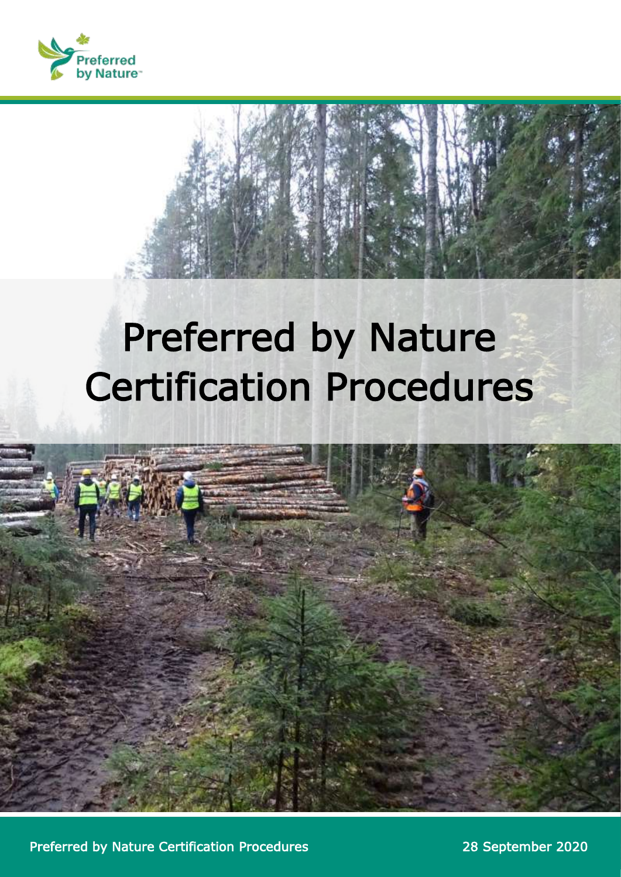

# Preferred by Nature Certification Procedures



Preferred by Nature Certification Procedures 28 September 2020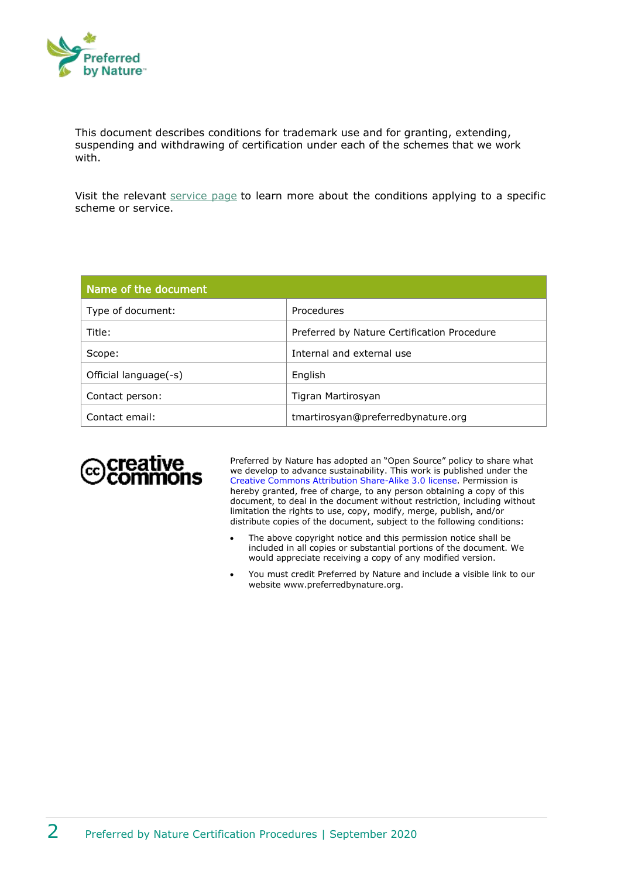

This document describes conditions for trademark use and for granting, extending, suspending and withdrawing of certification under each of the schemes that we work with.

Visit the relevant [service page](https://preferredbynature.org/certification) to learn more about the conditions applying to a specific scheme or service.

| Name of the document  |                                             |
|-----------------------|---------------------------------------------|
| Type of document:     | Procedures                                  |
| Title:                | Preferred by Nature Certification Procedure |
| Scope:                | Internal and external use                   |
| Official language(-s) | English                                     |
| Contact person:       | Tigran Martirosyan                          |
| Contact email:        | tmartirosyan@preferredbynature.org          |



Preferred by Nature has adopted an "Open Source" policy to share what we develop to advance sustainability. This work is published under the [Creative Commons Attribution Share-Alike 3.0 license.](http://creativecommons.org/licenses/by/3.0/) Permission is hereby granted, free of charge, to any person obtaining a copy of this document, to deal in the document without restriction, including without limitation the rights to use, copy, modify, merge, publish, and/or distribute copies of the document, subject to the following conditions:

- The above copyright notice and this permission notice shall be included in all copies or substantial portions of the document. We would appreciate receiving a copy of any modified version.
- You must credit Preferred by Nature and include a visible link to our website www.preferredbynature.org.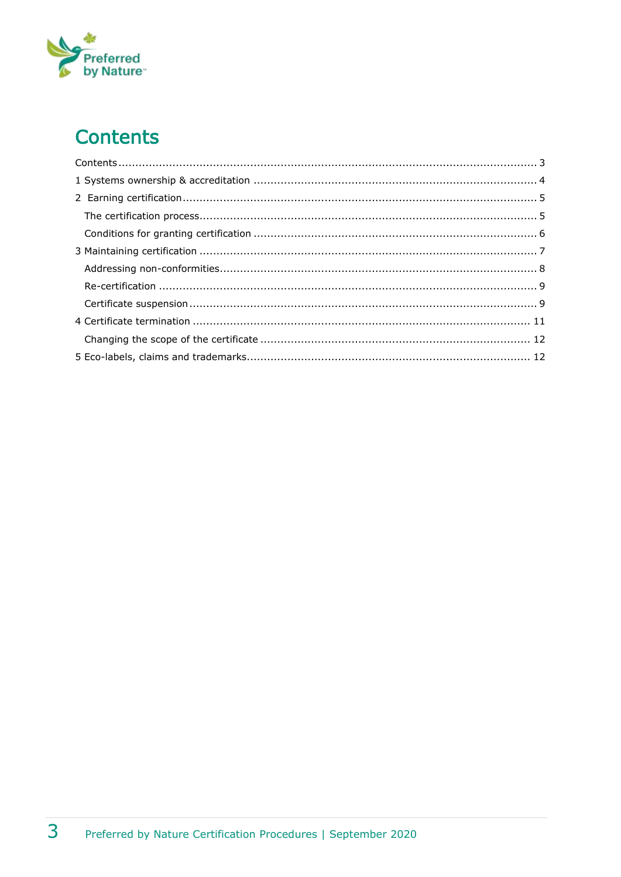# Preferred<br>by Nature

# <span id="page-2-0"></span>**Contents**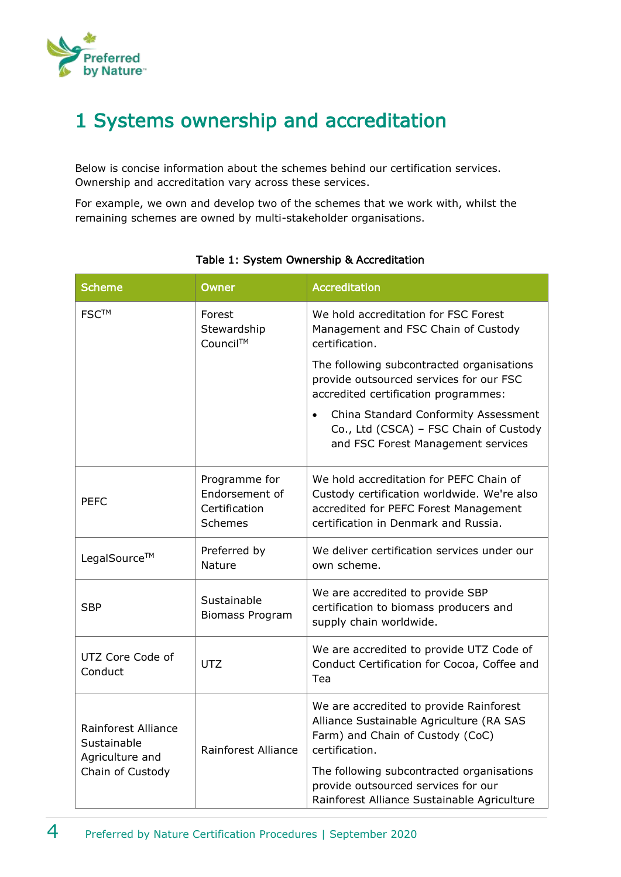

# <span id="page-3-0"></span>1 Systems ownership and accreditation

Below is concise information about the schemes behind our certification services. Ownership and accreditation vary across these services.

For example, we own and develop two of the schemes that we work with, whilst the remaining schemes are owned by multi-stakeholder organisations.

| <b>Scheme</b>                                         | Owner                                                       | <b>Accreditation</b>                                                                                                                                                    |
|-------------------------------------------------------|-------------------------------------------------------------|-------------------------------------------------------------------------------------------------------------------------------------------------------------------------|
| <b>FSCTM</b>                                          | Forest<br>Stewardship<br>Council™                           | We hold accreditation for FSC Forest<br>Management and FSC Chain of Custody<br>certification.                                                                           |
|                                                       |                                                             | The following subcontracted organisations<br>provide outsourced services for our FSC<br>accredited certification programmes:                                            |
|                                                       |                                                             | China Standard Conformity Assessment<br>Co., Ltd (CSCA) - FSC Chain of Custody<br>and FSC Forest Management services                                                    |
| <b>PEFC</b>                                           | Programme for<br>Endorsement of<br>Certification<br>Schemes | We hold accreditation for PEFC Chain of<br>Custody certification worldwide. We're also<br>accredited for PEFC Forest Management<br>certification in Denmark and Russia. |
| LegalSource™                                          | Preferred by<br>Nature                                      | We deliver certification services under our<br>own scheme.                                                                                                              |
| <b>SBP</b>                                            | Sustainable<br><b>Biomass Program</b>                       | We are accredited to provide SBP<br>certification to biomass producers and<br>supply chain worldwide.                                                                   |
| UTZ Core Code of<br>Conduct                           | <b>UTZ</b>                                                  | We are accredited to provide UTZ Code of<br>Conduct Certification for Cocoa, Coffee and<br>Tea                                                                          |
| Rainforest Alliance<br>Sustainable<br>Agriculture and | Rainforest Alliance                                         | We are accredited to provide Rainforest<br>Alliance Sustainable Agriculture (RA SAS<br>Farm) and Chain of Custody (CoC)<br>certification.                               |
| Chain of Custody                                      |                                                             | The following subcontracted organisations<br>provide outsourced services for our<br>Rainforest Alliance Sustainable Agriculture                                         |

#### Table 1: System Ownership & Accreditation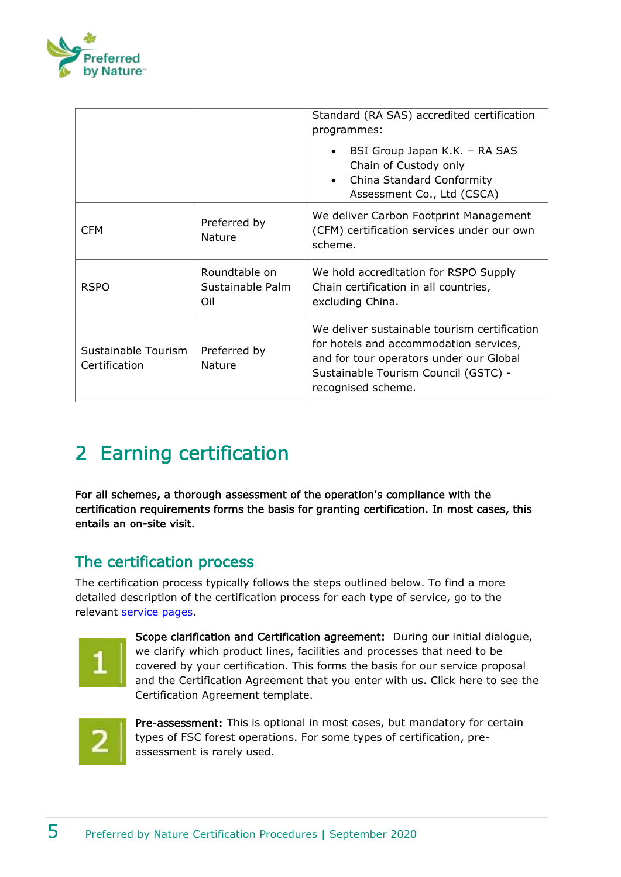

|                                      |                                          | Standard (RA SAS) accredited certification<br>programmes:                                                                                                                                       |
|--------------------------------------|------------------------------------------|-------------------------------------------------------------------------------------------------------------------------------------------------------------------------------------------------|
|                                      |                                          | BSI Group Japan K.K. - RA SAS<br>Chain of Custody only<br>China Standard Conformity<br>$\bullet$<br>Assessment Co., Ltd (CSCA)                                                                  |
| <b>CFM</b>                           | Preferred by<br>Nature                   | We deliver Carbon Footprint Management<br>(CFM) certification services under our own<br>scheme.                                                                                                 |
| <b>RSPO</b>                          | Roundtable on<br>Sustainable Palm<br>Oil | We hold accreditation for RSPO Supply<br>Chain certification in all countries,<br>excluding China.                                                                                              |
| Sustainable Tourism<br>Certification | Preferred by<br>Nature                   | We deliver sustainable tourism certification<br>for hotels and accommodation services,<br>and for tour operators under our Global<br>Sustainable Tourism Council (GSTC) -<br>recognised scheme. |

# <span id="page-4-0"></span>2 Earning certification

For all schemes, a thorough assessment of the operation's compliance with the certification requirements forms the basis for granting certification. In most cases, this entails an on-site visit.

### <span id="page-4-1"></span>The certification process

The certification process typically follows the steps outlined below. To find a more detailed description of the certification process for each type of service, go to the relevant [service pages.](https://www.nepcon.org/certification)



Scope clarification and Certification agreement: During our initial dialogue, we clarify which product lines, facilities and processes that need to be covered by your certification. This forms the basis for our service proposal and the Certification Agreement that you enter with us. Click [here](https://www.nepcon.org/node/847) to see the Certification Agreement template.



Pre-assessment: This is optional in most cases, but mandatory for certain types of FSC forest operations. For some types of certification, preassessment is rarely used.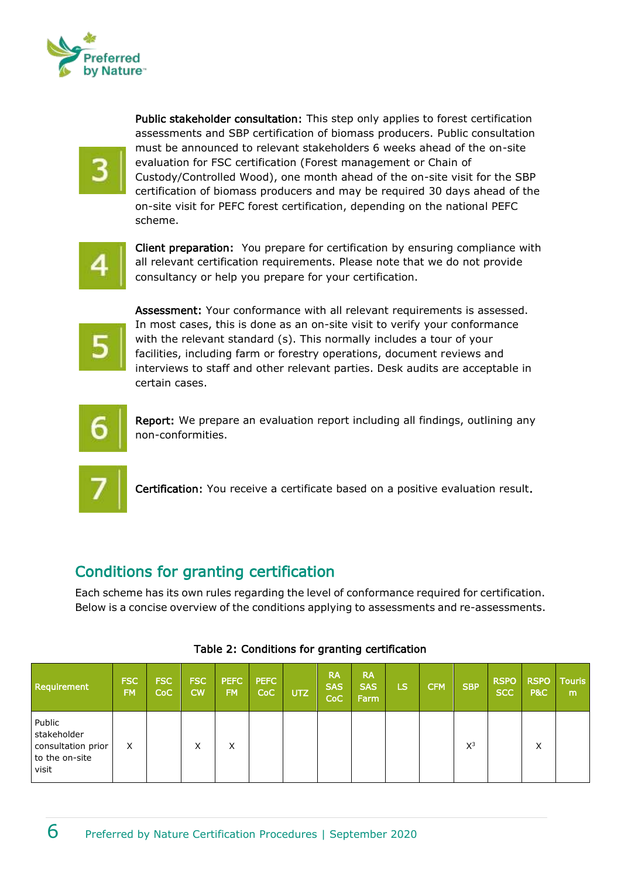

Public stakeholder consultation: This step only applies to forest certification assessments and SBP certification of biomass producers. Public consultation must be announced to relevant stakeholders 6 weeks ahead of the on-site evaluation for FSC certification (Forest management or Chain of Custody/Controlled Wood), one month ahead of the on-site visit for the SBP certification of biomass producers and may be required 30 days ahead of the on-site visit for PEFC forest certification, depending on the national PEFC scheme.

Client preparation: You prepare for certification by ensuring compliance with all relevant certification requirements. Please note that we do not provide consultancy or help you prepare for your certification.



Assessment: Your conformance with all relevant requirements is assessed. In most cases, this is done as an on-site visit to verify your conformance with the relevant standard (s). This normally includes a tour of your facilities, including farm or forestry operations, document reviews and interviews to staff and other relevant parties. Desk audits are acceptable in certain cases.



Report: We prepare an evaluation report including all findings, outlining any non-conformities.



Certification: You receive a certificate based on a positive evaluation result.

#### <span id="page-5-0"></span>Conditions for granting certification

Each scheme has its own rules regarding the level of conformance required for certification. Below is a concise overview of the conditions applying to assessments and re-assessments.

| <b>Requirement</b>                                                     | <b>FSC</b><br>FM. | <b>FSC</b><br><b>CoC</b> | <b>FSC</b><br>cw | <b>PEFC</b><br>FM. | <b>PEFC</b><br><b>CoC</b> | UTZ | <b>RA</b><br><b>SAS</b><br><b>CoC</b> | <b>RA</b><br><b>SAS</b><br>Farm | LS | <b>CFM</b> | <b>SBP</b> | <b>RSPO</b><br><b>SCC</b> | <b>RSPO</b><br>P&C | <b>Touris</b><br>m |
|------------------------------------------------------------------------|-------------------|--------------------------|------------------|--------------------|---------------------------|-----|---------------------------------------|---------------------------------|----|------------|------------|---------------------------|--------------------|--------------------|
| Public<br>stakeholder<br>consultation prior<br>to the on-site<br>visit | X                 |                          | X                | X                  |                           |     |                                       |                                 |    |            | $X^3$      |                           | X                  |                    |

#### Table 2: Conditions for granting certification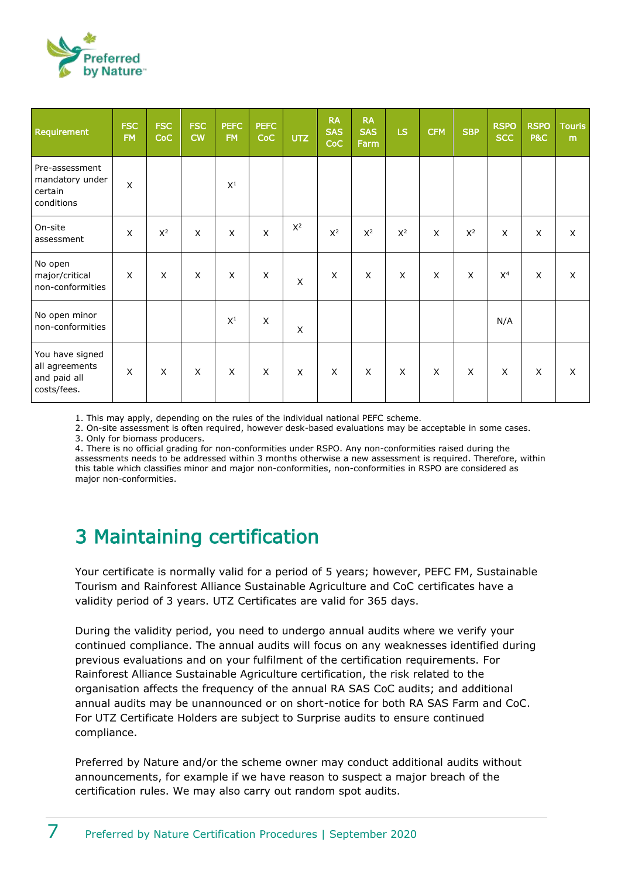

| Requirement                                                      | <b>FSC</b><br><b>FM</b> | <b>FSC</b><br>CoC | <b>FSC</b><br><b>CW</b> | <b>PEFC</b><br><b>FM</b> | <b>PEFC</b><br>CoC | UTZ   | <b>RA</b><br><b>SAS</b><br><b>CoC</b> | <b>RA</b><br><b>SAS</b><br>Farm | <b>LS</b>      | <b>CFM</b>                | <b>SBP</b> | <b>RSPO</b><br><b>SCC</b> | <b>RSPO</b><br><b>P&amp;C</b> | <b>Touris</b><br>m |
|------------------------------------------------------------------|-------------------------|-------------------|-------------------------|--------------------------|--------------------|-------|---------------------------------------|---------------------------------|----------------|---------------------------|------------|---------------------------|-------------------------------|--------------------|
| Pre-assessment<br>mandatory under<br>certain<br>conditions       | X                       |                   |                         | $X^1$                    |                    |       |                                       |                                 |                |                           |            |                           |                               |                    |
| On-site<br>assessment                                            | X                       | $X^2$             | $\times$                | X                        | $\times$           | $X^2$ | $X^2$                                 | $X^2$                           | $X^2$          | X                         | $X^2$      | $\mathsf{x}$              | $\mathsf{X}$                  | X                  |
| No open<br>major/critical<br>non-conformities                    | $\mathsf{X}$            | X                 | $\times$                | $\mathsf{X}$             | X                  | X     | X                                     | X                               | X              | X                         | $\times$   | X <sup>4</sup>            | X                             | X                  |
| No open minor<br>non-conformities                                |                         |                   |                         | $X^1$                    | $\pmb{\times}$     | X     |                                       |                                 |                |                           |            | N/A                       |                               |                    |
| You have signed<br>all agreements<br>and paid all<br>costs/fees. | $\pmb{\times}$          | $\pmb{\times}$    | X                       | X                        | X                  | X     | X                                     | X                               | $\pmb{\times}$ | $\boldsymbol{\mathsf{X}}$ | $\times$   | X                         | $\mathsf X$                   | X                  |

1. This may apply, depending on the rules of the individual national PEFC scheme.

2. On-site assessment is often required, however desk-based evaluations may be acceptable in some cases.

3. Only for biomass producers.

4. There is no official grading for non-conformities under RSPO. Any non-conformities raised during the assessments needs to be addressed within 3 months otherwise a new assessment is required. Therefore, within this table which classifies minor and major non-conformities, non-conformities in RSPO are considered as major non-conformities.

## <span id="page-6-0"></span>3 Maintaining certification

Your certificate is normally valid for a period of 5 years; however, PEFC FM, Sustainable Tourism and Rainforest Alliance Sustainable Agriculture and CoC certificates have a validity period of 3 years. UTZ Certificates are valid for 365 days.

During the validity period, you need to undergo annual audits where we verify your continued compliance. The annual audits will focus on any weaknesses identified during previous evaluations and on your fulfilment of the certification requirements. For Rainforest Alliance Sustainable Agriculture certification, the risk related to the organisation affects the frequency of the annual RA SAS CoC audits; and additional annual audits may be unannounced or on short-notice for both RA SAS Farm and CoC. For UTZ Certificate Holders are subject to Surprise audits to ensure continued compliance.

Preferred by Nature and/or the scheme owner may conduct additional audits without announcements, for example if we have reason to suspect a major breach of the certification rules. We may also carry out random spot audits.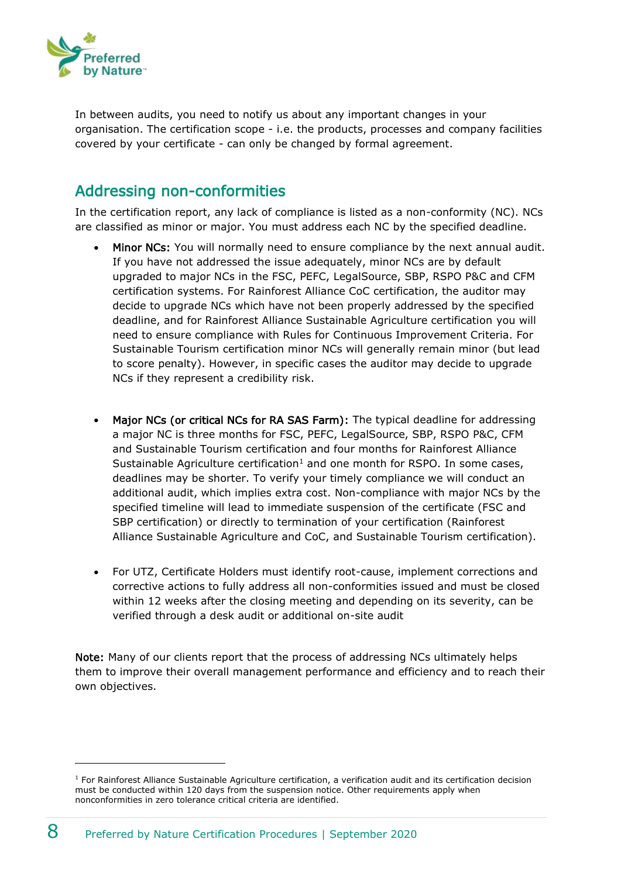

In between audits, you need to notify us about any important changes in your organisation. The certification scope - i.e. the products, processes and company facilities covered by your certificate - can only be changed by formal agreement.

#### <span id="page-7-0"></span>Addressing non-conformities

In the certification report, any lack of compliance is listed as a non-conformity (NC). NCs are classified as minor or major. You must address each NC by the specified deadline.

- Minor NCs: You will normally need to ensure compliance by the next annual audit. If you have not addressed the issue adequately, minor NCs are by default upgraded to major NCs in the FSC, PEFC, LegalSource, SBP, RSPO P&C and CFM certification systems. For Rainforest Alliance CoC certification, the auditor may decide to upgrade NCs which have not been properly addressed by the specified deadline, and for Rainforest Alliance Sustainable Agriculture certification you will need to ensure compliance with Rules for Continuous Improvement Criteria. For Sustainable Tourism certification minor NCs will generally remain minor (but lead to score penalty). However, in specific cases the auditor may decide to upgrade NCs if they represent a credibility risk.
- Major NCs (or critical NCs for RA SAS Farm): The typical deadline for addressing a major NC is three months for FSC, PEFC, LegalSource, SBP, RSPO P&C, CFM and Sustainable Tourism certification and four months for Rainforest Alliance Sustainable Agriculture certification<sup>1</sup> and one month for RSPO. In some cases, deadlines may be shorter. To verify your timely compliance we will conduct an additional audit, which implies extra cost. Non-compliance with major NCs by the specified timeline will lead to immediate suspension of the certificate (FSC and SBP certification) or directly to termination of your certification (Rainforest Alliance Sustainable Agriculture and CoC, and Sustainable Tourism certification).
- For UTZ, Certificate Holders must identify root-cause, implement corrections and corrective actions to fully address all non-conformities issued and must be closed within 12 weeks after the closing meeting and depending on its severity, can be verified through a desk audit or additional on-site audit

Note: Many of our clients report that the process of addressing NCs ultimately helps them to improve their overall management performance and efficiency and to reach their own objectives.

<sup>&</sup>lt;sup>1</sup> For Rainforest Alliance Sustainable Agriculture certification, a verification audit and its certification decision must be conducted within 120 days from the suspension notice. Other requirements apply when nonconformities in zero tolerance critical criteria are identified.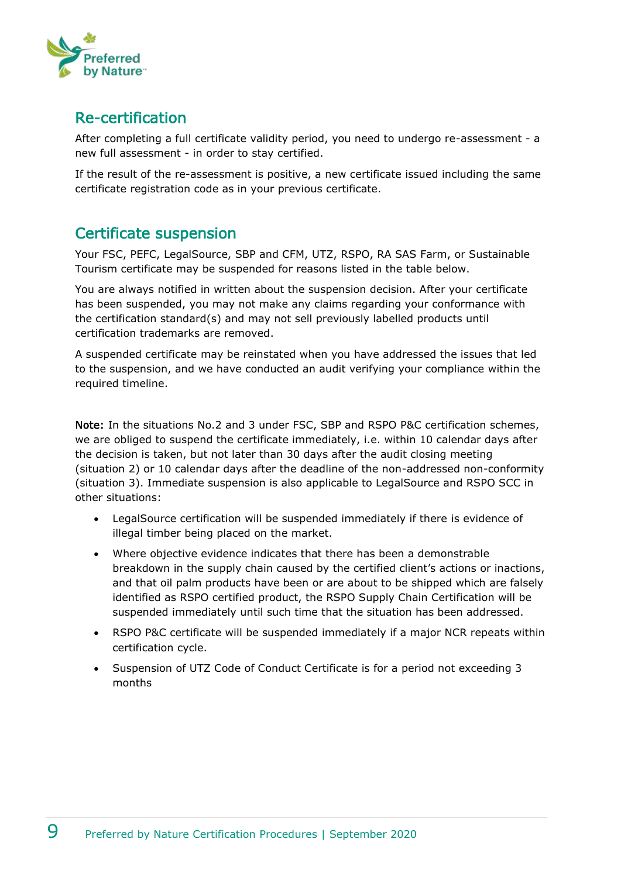

#### <span id="page-8-0"></span>Re-certification

After completing a full certificate validity period, you need to undergo re-assessment - a new full assessment - in order to stay certified.

If the result of the re-assessment is positive, a new certificate issued including the same certificate registration code as in your previous certificate.

#### <span id="page-8-1"></span>Certificate suspension

Your FSC, PEFC, LegalSource, SBP and CFM, UTZ, RSPO, RA SAS Farm, or Sustainable Tourism certificate may be suspended for reasons listed in the table below.

You are always notified in written about the suspension decision. After your certificate has been suspended, you may not make any claims regarding your conformance with the certification standard(s) and may not sell previously labelled products until certification trademarks are removed.

A suspended certificate may be reinstated when you have addressed the issues that led to the suspension, and we have conducted an audit verifying your compliance within the required timeline.

Note: In the situations No.2 and 3 under FSC, SBP and RSPO P&C certification schemes, we are obliged to suspend the certificate immediately, i.e. within 10 calendar days after the decision is taken, but not later than 30 days after the audit closing meeting (situation 2) or 10 calendar days after the deadline of the non-addressed non-conformity (situation 3). Immediate suspension is also applicable to LegalSource and RSPO SCC in other situations:

- LegalSource certification will be suspended immediately if there is evidence of illegal timber being placed on the market.
- Where objective evidence indicates that there has been a demonstrable breakdown in the supply chain caused by the certified client's actions or inactions, and that oil palm products have been or are about to be shipped which are falsely identified as RSPO certified product, the RSPO Supply Chain Certification will be suspended immediately until such time that the situation has been addressed.
- RSPO P&C certificate will be suspended immediately if a major NCR repeats within certification cycle.
- Suspension of UTZ Code of Conduct Certificate is for a period not exceeding 3 months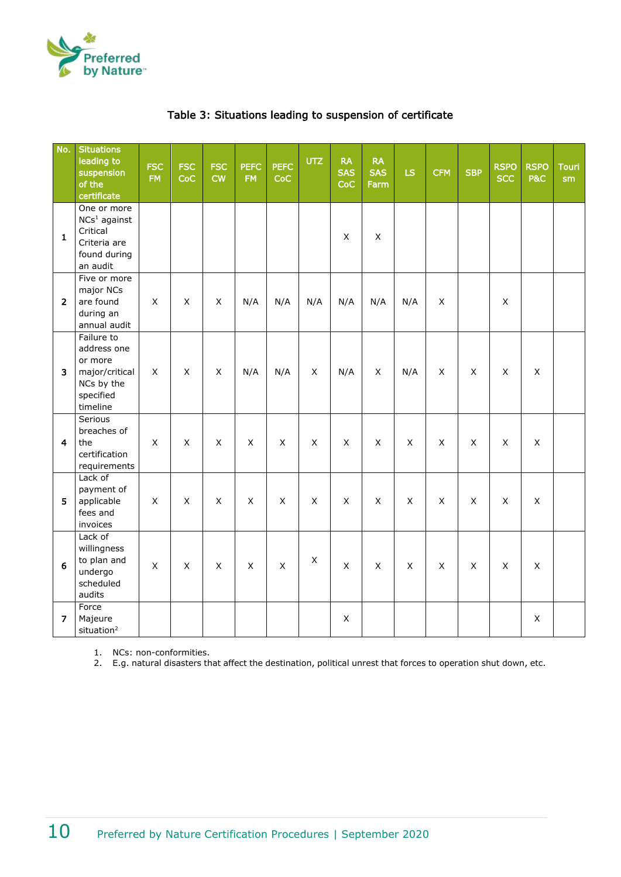

|  |  |  |  | Table 3: Situations leading to suspension of certificate |  |
|--|--|--|--|----------------------------------------------------------|--|
|--|--|--|--|----------------------------------------------------------|--|

| No.            | <b>Situations</b><br>leading to<br>suspension<br>of the<br>certificate                          | <b>FSC</b><br><b>FM</b> | <b>FSC</b><br>CoC | <b>FSC</b><br><b>CW</b> | <b>PEFC</b><br><b>FM</b> | <b>PEFC</b><br>CoC | <b>UTZ</b>                | <b>RA</b><br><b>SAS</b><br>CoC | <b>RA</b><br><b>SAS</b><br>Farm | LS          | <b>CFM</b>  | <b>SBP</b> | <b>RSPO</b><br><b>SCC</b> | <b>RSPO</b><br><b>P&amp;C</b> | <b>Touri</b><br>sm |
|----------------|-------------------------------------------------------------------------------------------------|-------------------------|-------------------|-------------------------|--------------------------|--------------------|---------------------------|--------------------------------|---------------------------------|-------------|-------------|------------|---------------------------|-------------------------------|--------------------|
| $\mathbf{1}$   | One or more<br>NCs <sup>1</sup> against<br>Critical<br>Criteria are<br>found during<br>an audit |                         |                   |                         |                          |                    |                           | $\mathsf X$                    | $\mathsf X$                     |             |             |            |                           |                               |                    |
| $\overline{2}$ | Five or more<br>major NCs<br>are found<br>during an<br>annual audit                             | $\mathsf X$             | X                 | $\pmb{\times}$          | N/A                      | N/A                | N/A                       | N/A                            | N/A                             | N/A         | X           |            | $\mathsf{X}$              |                               |                    |
| 3              | Failure to<br>address one<br>or more<br>major/critical<br>NCs by the<br>specified<br>timeline   | X                       | X                 | $\pmb{\times}$          | N/A                      | N/A                | X                         | N/A                            | $\boldsymbol{\mathsf{X}}$       | N/A         | X           | $\times$   | $\mathsf{X}$              | X                             |                    |
| $\overline{4}$ | Serious<br>breaches of<br>the<br>certification<br>requirements                                  | $\mathsf X$             | $\pmb{\times}$    | $\mathsf X$             | $\mathsf{X}$             | $\mathsf X$        | $\pmb{\times}$            | $\pmb{\times}$                 | $\sf X$                         | $\mathsf X$ | $\mathsf X$ | X          | $\mathsf{X}$              | $\mathsf X$                   |                    |
| 5              | Lack of<br>payment of<br>applicable<br>fees and<br>invoices                                     | X                       | X                 | $\times$                | $\mathsf{X}$             | X                  | $\mathsf{X}$              | X                              | $\mathsf{X}$                    | X           | X           | X          | $\times$                  | X                             |                    |
| 6              | Lack of<br>willingness<br>to plan and<br>undergo<br>scheduled<br>audits                         | X                       | X                 | $\pmb{\times}$          | $\times$                 | X                  | $\boldsymbol{\mathsf{X}}$ | $\mathsf X$                    | $\times$                        | X           | X           | X          | $\mathsf{X}$              | X                             |                    |
| 7              | Force<br>Majeure<br>situation <sup>2</sup>                                                      |                         |                   |                         |                          |                    |                           | $\pmb{\times}$                 |                                 |             |             |            |                           | X                             |                    |

1. NCs: non-conformities.

2. E.g. natural disasters that affect the destination, political unrest that forces to operation shut down, etc.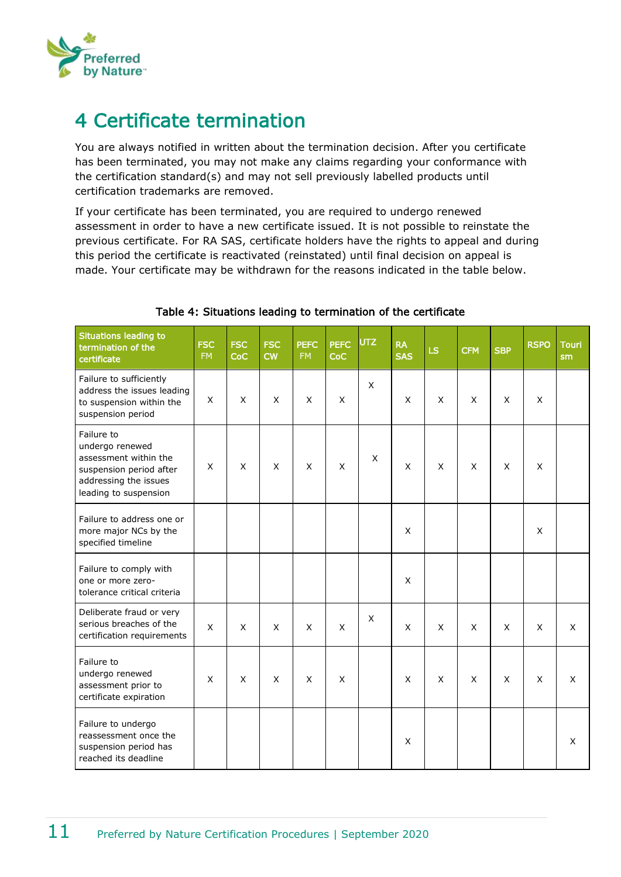

## <span id="page-10-0"></span>4 Certificate termination

You are always notified in written about the termination decision. After you certificate has been terminated, you may not make any claims regarding your conformance with the certification standard(s) and may not sell previously labelled products until certification trademarks are removed.

If your certificate has been terminated, you are required to undergo renewed assessment in order to have a new certificate issued. It is not possible to reinstate the previous certificate. For RA SAS, certificate holders have the rights to appeal and during this period the certificate is reactivated (reinstated) until final decision on appeal is made. Your certificate may be withdrawn for the reasons indicated in the table below.

| <b>Situations leading to</b><br>termination of the<br>certificate                                                                   | <b>FSC</b><br><b>FM</b> | <b>FSC</b><br><b>CoC</b> | <b>FSC</b><br><b>CW</b> | <b>PEFC</b><br><b>FM</b> | <b>PEFC</b><br><b>CoC</b> | <b>UTZ</b> | <b>RA</b><br><b>SAS</b> | LS           | <b>CFM</b> | <b>SBP</b> | <b>RSPO</b> | <b>Touri</b><br>sm |
|-------------------------------------------------------------------------------------------------------------------------------------|-------------------------|--------------------------|-------------------------|--------------------------|---------------------------|------------|-------------------------|--------------|------------|------------|-------------|--------------------|
| Failure to sufficiently<br>address the issues leading<br>to suspension within the<br>suspension period                              | X                       | X                        | X                       | X                        | X                         | X          | X                       | X            | X          | X          | X           |                    |
| Failure to<br>undergo renewed<br>assessment within the<br>suspension period after<br>addressing the issues<br>leading to suspension | X                       | X                        | X                       | X                        | X                         | X          | X                       | X            | X          | X          | X           |                    |
| Failure to address one or<br>more major NCs by the<br>specified timeline                                                            |                         |                          |                         |                          |                           |            | X                       |              |            |            | X           |                    |
| Failure to comply with<br>one or more zero-<br>tolerance critical criteria                                                          |                         |                          |                         |                          |                           |            | $\pmb{\times}$          |              |            |            |             |                    |
| Deliberate fraud or very<br>serious breaches of the<br>certification requirements                                                   | $\mathsf{x}$            | X                        | $\mathsf{x}$            | X                        | X                         | X          | $\mathsf{X}$            | $\mathsf{x}$ | X          | X          | X           | X                  |
| Failure to<br>undergo renewed<br>assessment prior to<br>certificate expiration                                                      | X                       | X                        | X                       | X                        | X                         |            | X                       | X            | X          | X          | X           | X                  |
| Failure to undergo<br>reassessment once the<br>suspension period has<br>reached its deadline                                        |                         |                          |                         |                          |                           |            | X                       |              |            |            |             | X                  |

#### Table 4: Situations leading to termination of the certificate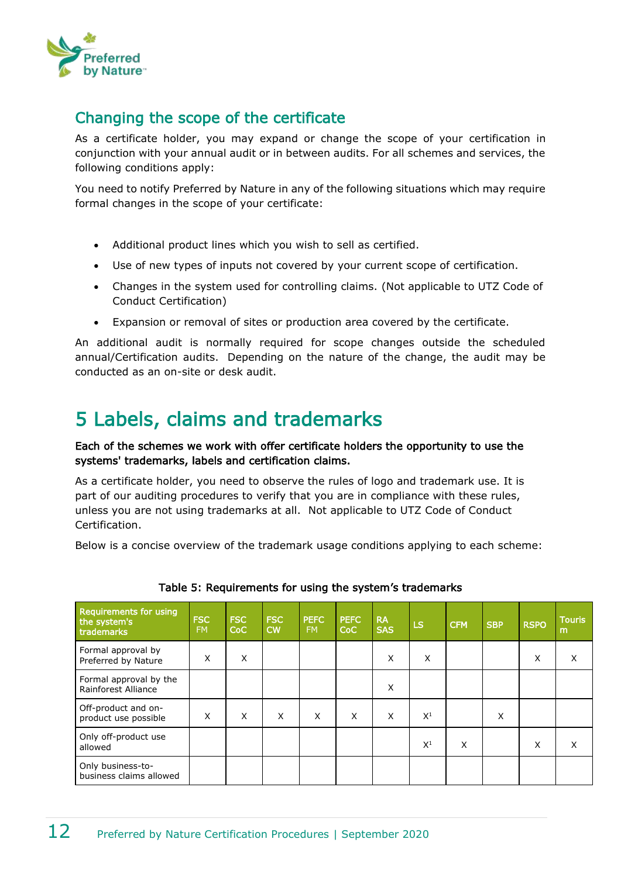

#### <span id="page-11-0"></span>Changing the scope of the certificate

As a certificate holder, you may expand or change the scope of your certification in conjunction with your annual audit or in between audits. For all schemes and services, the following conditions apply:

You need to notify Preferred by Nature in any of the following situations which may require formal changes in the scope of your certificate:

- Additional product lines which you wish to sell as certified.
- Use of new types of inputs not covered by your current scope of certification.
- Changes in the system used for controlling claims. (Not applicable to UTZ Code of Conduct Certification)
- Expansion or removal of sites or production area covered by the certificate.

An additional audit is normally required for scope changes outside the scheduled annual/Certification audits. Depending on the nature of the change, the audit may be conducted as an on-site or desk audit.

# <span id="page-11-1"></span>5 Labels, claims and trademarks

#### Each of the schemes we work with offer certificate holders the opportunity to use the systems' trademarks, labels and certification claims.

As a certificate holder, you need to observe the rules of logo and trademark use. It is part of our auditing procedures to verify that you are in compliance with these rules, unless you are not using trademarks at all. Not applicable to UTZ Code of Conduct Certification.

Below is a concise overview of the trademark usage conditions applying to each scheme:

| <b>Requirements for using</b><br>the system's<br>trademarks | <b>FSC</b><br><b>FM</b> | <b>FSC</b><br>CoC | <b>FSC</b><br><b>CW</b> | <b>PEFC</b><br><b>FM</b> | <b>PEFC</b><br>CoC | <b>RA</b><br><b>SAS</b> | <b>LS</b> | <b>CFM</b> | <b>SBP</b> | <b>RSPO</b> | <b>Touris</b><br>m |
|-------------------------------------------------------------|-------------------------|-------------------|-------------------------|--------------------------|--------------------|-------------------------|-----------|------------|------------|-------------|--------------------|
| Formal approval by<br>Preferred by Nature                   | X                       | X                 |                         |                          |                    | X                       | X         |            |            | X           | X                  |
| Formal approval by the<br><b>Rainforest Alliance</b>        |                         |                   |                         |                          |                    | X                       |           |            |            |             |                    |
| Off-product and on-<br>product use possible                 | X                       | X                 | X                       | X                        | X                  | $\times$                | $X^1$     |            | X          |             |                    |
| Only off-product use<br>allowed                             |                         |                   |                         |                          |                    |                         | $X^1$     | X          |            | X           | x                  |
| Only business-to-<br>business claims allowed                |                         |                   |                         |                          |                    |                         |           |            |            |             |                    |

#### Table 5: Requirements for using the system's trademarks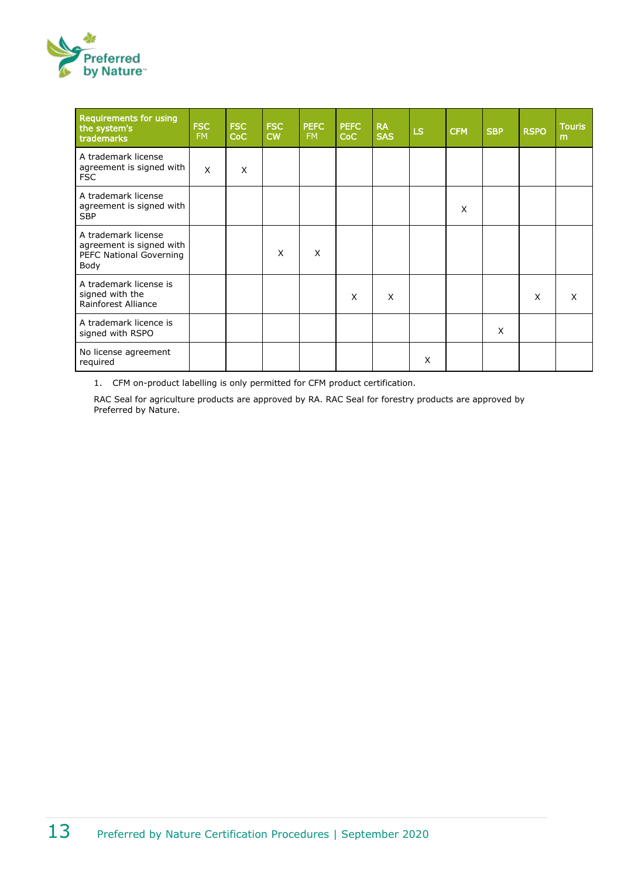

| <b>Requirements for using</b><br>the system's<br>trademarks                        | <b>FSC</b><br><b>FM</b> | <b>FSC</b><br>CoC | <b>FSC</b><br><b>CW</b> | <b>PEFC</b><br><b>FM</b> | <b>PEFC</b><br>CoC | <b>RA</b><br><b>SAS</b> | <b>LS</b> | <b>CFM</b> | <b>SBP</b> | <b>RSPO</b> | <b>Touris</b><br>m |
|------------------------------------------------------------------------------------|-------------------------|-------------------|-------------------------|--------------------------|--------------------|-------------------------|-----------|------------|------------|-------------|--------------------|
| A trademark license<br>agreement is signed with<br><b>FSC</b>                      | X                       | X                 |                         |                          |                    |                         |           |            |            |             |                    |
| A trademark license<br>agreement is signed with<br><b>SBP</b>                      |                         |                   |                         |                          |                    |                         |           | X          |            |             |                    |
| A trademark license<br>agreement is signed with<br>PEFC National Governing<br>Body |                         |                   | X                       | X                        |                    |                         |           |            |            |             |                    |
| A trademark license is<br>signed with the<br><b>Rainforest Alliance</b>            |                         |                   |                         |                          | X                  | X                       |           |            |            | X           | X                  |
| A trademark licence is<br>signed with RSPO                                         |                         |                   |                         |                          |                    |                         |           |            | X          |             |                    |
| No license agreement<br>required                                                   |                         |                   |                         |                          |                    |                         | X         |            |            |             |                    |

1. CFM on-product labelling is only permitted for CFM product certification.

RAC Seal for agriculture products are approved by RA. RAC Seal for forestry products are approved by Preferred by Nature.